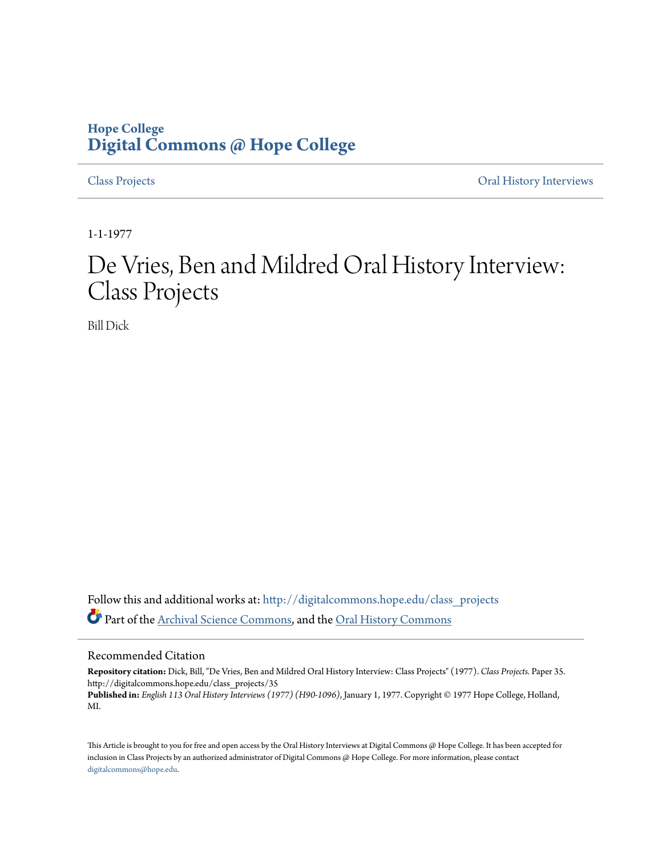## **Hope College [Digital Commons @ Hope College](http://digitalcommons.hope.edu?utm_source=digitalcommons.hope.edu%2Fclass_projects%2F35&utm_medium=PDF&utm_campaign=PDFCoverPages)**

[Class Projects](http://digitalcommons.hope.edu/class_projects?utm_source=digitalcommons.hope.edu%2Fclass_projects%2F35&utm_medium=PDF&utm_campaign=PDFCoverPages) [Oral History Interviews](http://digitalcommons.hope.edu/oral_histories?utm_source=digitalcommons.hope.edu%2Fclass_projects%2F35&utm_medium=PDF&utm_campaign=PDFCoverPages)

1-1-1977

## De Vries, Ben and Mildred Oral History Interview: Class Projects

Bill Dick

Follow this and additional works at: [http://digitalcommons.hope.edu/class\\_projects](http://digitalcommons.hope.edu/class_projects?utm_source=digitalcommons.hope.edu%2Fclass_projects%2F35&utm_medium=PDF&utm_campaign=PDFCoverPages) Part of the [Archival Science Commons,](http://network.bepress.com/hgg/discipline/1021?utm_source=digitalcommons.hope.edu%2Fclass_projects%2F35&utm_medium=PDF&utm_campaign=PDFCoverPages) and the [Oral History Commons](http://network.bepress.com/hgg/discipline/1195?utm_source=digitalcommons.hope.edu%2Fclass_projects%2F35&utm_medium=PDF&utm_campaign=PDFCoverPages)

## Recommended Citation

**Repository citation:** Dick, Bill, "De Vries, Ben and Mildred Oral History Interview: Class Projects" (1977). *Class Projects.* Paper 35. http://digitalcommons.hope.edu/class\_projects/35

**Published in:** *English 113 Oral History Interviews (1977) (H90-1096)*, January 1, 1977. Copyright © 1977 Hope College, Holland, MI.

This Article is brought to you for free and open access by the Oral History Interviews at Digital Commons @ Hope College. It has been accepted for inclusion in Class Projects by an authorized administrator of Digital Commons @ Hope College. For more information, please contact [digitalcommons@hope.edu.](mailto:digitalcommons@hope.edu)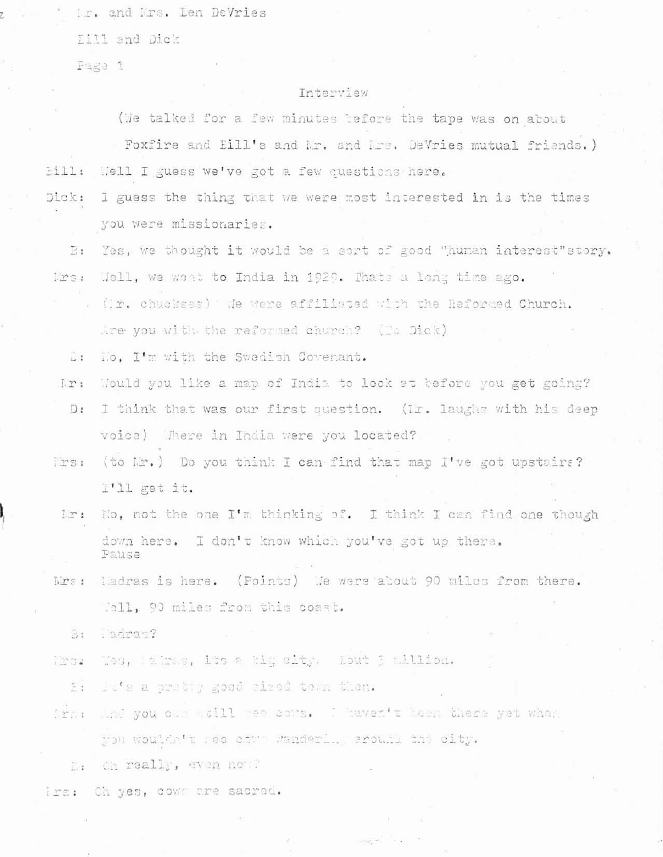ir. and Mrs. Len DeVries

Till and Dick

Page 1

## Interview

(We talked for a few minutes tefore the tape was on about

Poxfire and Eill's and br. and brs. DeVries mutual friends.)  $E111:$ Mell I guess we've got a few questions here.

- Dick: I guess the thing that we were most interested in is the times you were missionaries.
	- Yes, we thought it would be a sort of good "human interest"story.  $B.$ Well, we want to India in 1929. Thats a long time ago. Mrs:
		- (Ir. chuckees) We were affiliated with the Reformed Church. Are you with the reformed church? (To Dick)
		- No. I'm with the Swedish Covenant.  $\sim$  1
	- Would you like a map of India to look at tefore you get going? lr:
	- $D:$ I think that was our first question. (Ir. laughs with his deep voice) Where in India were you located?
	- $1231$ (to Mr.) Do you think I can find that map I've got upstairs? I'll get it.
	- $l \mathcal{L}$ : No, not the one I'm thinking of. I think I can find one though down here. I don't know which you've got up there. Pause
	- $1.221$ ladras is here. (Points) Me were about 90 miles from there. Joll, 90 miles from this coast.
		- Tadrac? 3:
	- Tes, lairas, its a hig city. Lout 3 million. 123.
		- ly's a pretty good sized town them. E.
	- And you can well gee some. I haven't been there yet what  $T<sub>1</sub>$ you wouldn't nee comm wanderly, ground the city.
		- Oh really, even now?  $\Gamma_{1}$
- Ch yes, cows are sacred.  $122:$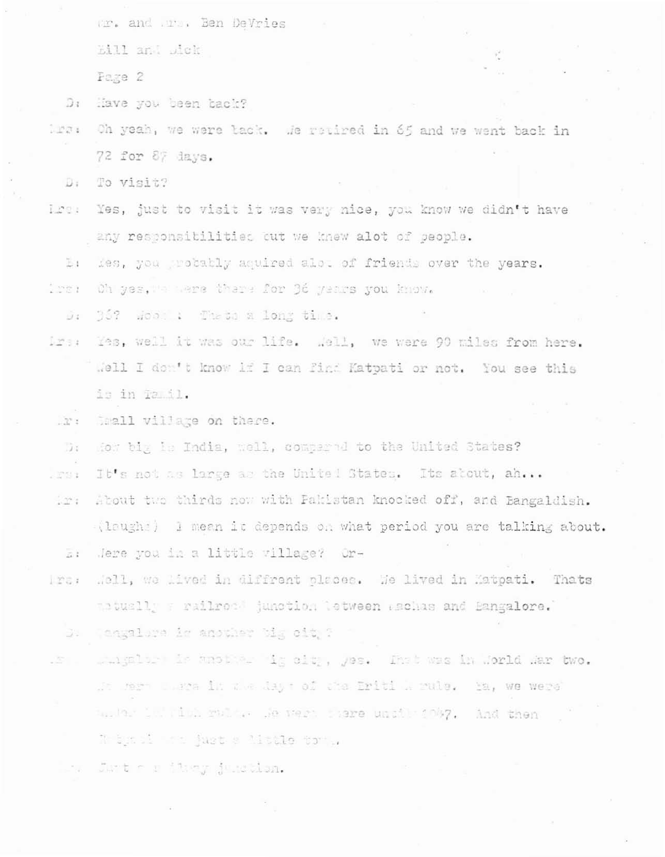Or. and Ors. Ben DeVries

Eill and Dick

Page 2

Have you been tack?  $D1$ 

Oh yeah, we were tack. We retired in 65 and we went back in  $1271$ 72 for 87 days.

To visit? D.

Yes, just to visit it was very nice, you know we didn't have Lreu any responsibilities out we knew alot of seople.

Ëт fes, you probably aquired alot of friends over the years.

Oh yes, we were there for 36 years you know. i se n

D: 36? Wood : Theto a long time.

- Yes, well it was our life. Well, we were 90 miles from here. lizheren e Well I don't know if I can find Katpati or not. You see this is in Tamil.
	- Imall village on there.  $-27.1$
	- How big is India, well, compared to the United States?  $\overline{1}$
- It's not as large as the United States. Its about, ah... JENS 1

About the thirds now with Pakistan knocked off, and Bangaldish.  $121$ (laughe) I mean it depends on what period you are talking about. Jere you in a little village? Or- $51$ 

Mell, we hived in diffrent places. We lived in Matpati. Thats  $1201$ abuslly a railroot junction tetween aschas and Bangalore.

Taggalore is another big oit ? 3.

mingless is another is sit, yes. The base in Jorld Mar two.  $\sim$ Who were there in the days of the Eriti A rule. Ia, we were turber in Tith roller we were herre until 1007. And then Whin il the just a little to ..

Just of item jugables.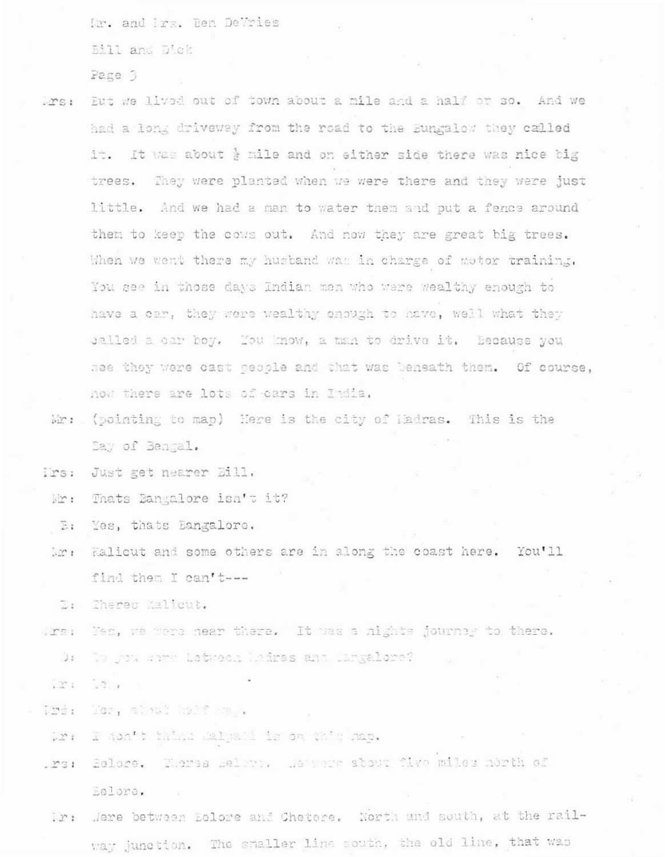Mr. and Irs. Ben DeVries

Bill and Dick

Page 3

- Drs: Eut we lived out of town about a mile and a half or so. And we had a long driveway from the road to the Eungalow they called it. It was about } mile and on either side there was nice big trees. They were planted when we were there and they were just little. And we had a man to water them and put a fence around them to keep the cows out. And now they are great big trees. When we went there my hustand was in charge of motor training. You see in those days Indian men who were wealthy enough to have a car, they were wealthy enough to have, well what they salled a car boy. You know, a man to drive it. Because you see they were cast people and that was beneath them. Of course, now there are lots of cars in India.
- Mr: (pointing to map) Here is the city of Hadras. This is the Bay of Bengal.

Irs: Just get nearer Bill.

Mr: Thats Bangalore isn't it?

 $E:$ Yes, thats Bangalore.

Lr: Kalicut and some others are in along the coast here. You'll find them I can't ---

Theres Malicut.  $E_{\rm F}$ 

Tes, we were near there. It was a nights journey to there.  $1251$ To you same Letween Ladres and Langelore?  $\cup$ 

 $-20.4 - 1$  $12^{\circ}$ 

Ibs: Mes, aloud half wall

Mr: I don't think Ralpati is on this map.

- .rs: Selere. Theres Belore. He were about five miles north of Eelore.
- Ir: Jere between Eclore and Chetore. North and south, at the railway junction. The smaller line south, the old line, that was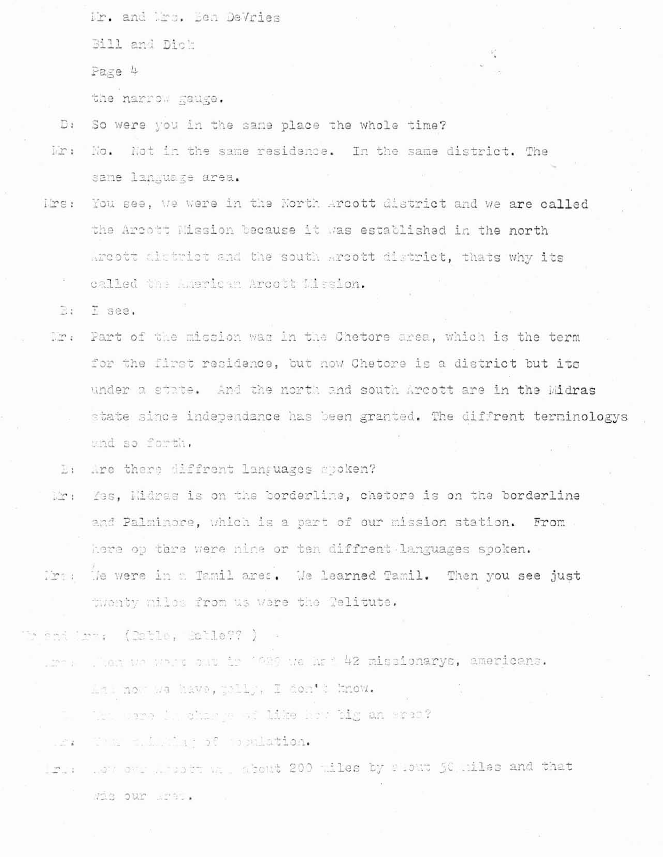Mr. and Mrs. Ben DeVries

Bill and Dick

Page 4

the narrow gauge.

- So were you in the same place the whole time?  $D:$
- No. Not in the same residence. In the same district. The  $irr:$ same language area.
- You see, we were in the North Arcott district and we are called lrs: the Arcott Mission because it was established in the north Areott district and the south Arcott district, thats why its called the American Arcott Mission.

T see.  $R1$ 

Mr. Part of the mission was in the Chetore area, which is the term for the first residence, but now Chetore is a district but its under a state. And the north and south Arcott are in the Midras state since independance has been granted. The diffrent terminologys und so forth.

 $E_{1}$ Are there diffrent languages spoken?

- Mr: Yes, Hidras is on the borderline, chetore is on the borderline and Palminore, which is a part of our mission station. From here op tare were nine or ten diffrent languages spoken.
- Mrs: He were in a Tamil ares. He learned Tamil. Then you see just twenty miles from us were the Telitute.

endire, (Datle, Balle?? ) -

. The Wester of the Control of the Control 42 missionarys, americans.

Li now we have, polly, I don't know.

The same is charge of like how big an eren?

e. The time in the stronglation.

Irus were modern we about 200 wiles by stout 50 wiles and that Wis our Ere.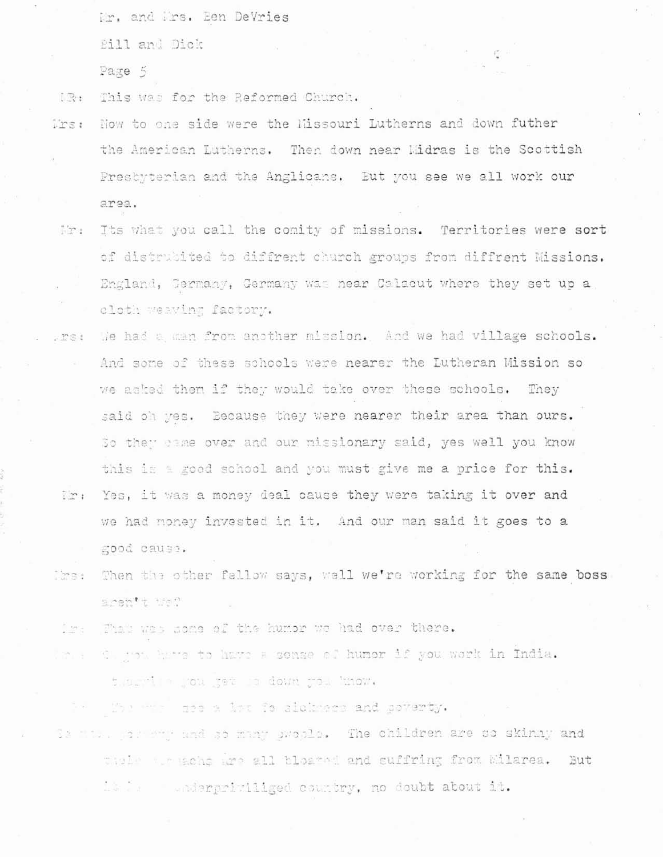Mr. and Mrs. Een DeVries

**Bill** and Dick

Page 5

This was for the Reformed Church. DR:

- Now to one side were the Missouri Lutherns and down futher Trs: the American Lutherns. Then down near Midras is the Scottish Prestyterian and the Anglicans. Eut you see we all work our area.
	- Its what you call the comity of missions. Territories were sort lir: of distrubited to diffrent church groups from diffrent Missions. England, Germany, Germany was near Calacut where they set up a cloth weaving factory.
- We had a man from another mission. And we had village schools. . me : And some of these schools were nearer the Lutheran Mission so we asked then if they would take over these schools. They said oh yes. Because they were nearer their area than ours. So they came over and our missionary said, yes well you know this is a good school and you must give me a price for this. Wr: Yes, it was a money deal cause they were taking it over and we had money invested in it. And our man said it goes to a good cause.
- Ibs: Then the other fallow says, well we're working for the same boss aren't we?

That was some of the humor we had over there. films -

In a Clight have to have a sense of humor if you work in India. figuration you were to down you know.

The the good late for alcharge and poverty.

Is make paramy and so many ewools. The children are so skinny and thele we make are all bleated and suffring from Ellarea. But is is a subderpriviliged country, no doubt about it.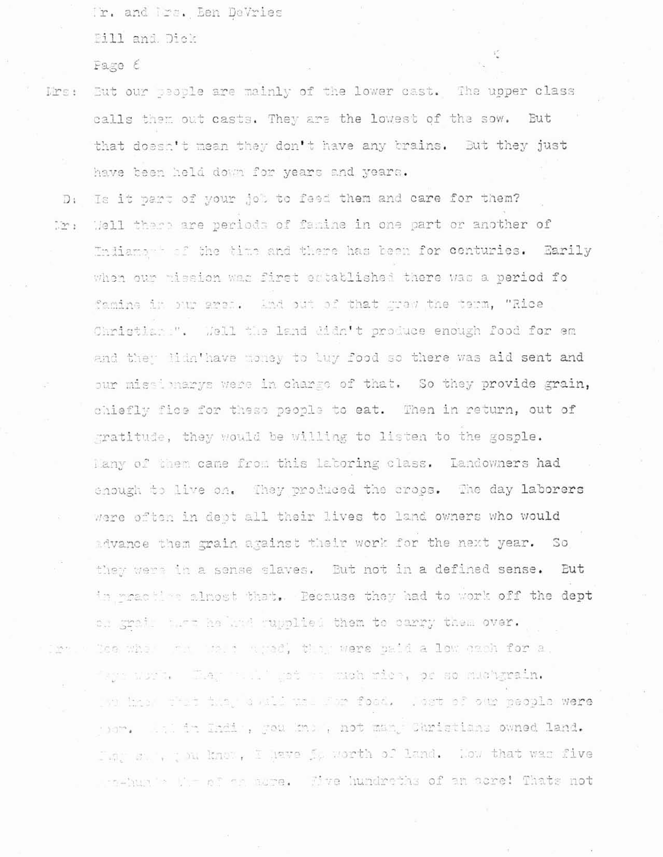Ir. and Irs. Een DeVries

Bill and Dick

Page 6

- Mrs: But our people are mainly of the lower cast. The upper class calls them out casts. They are the lowest of the sow. But that doesn't mean they don't have any brains. But they just have been held down for years and years.
- Is it part of your job to feed them and care for them?  $D +$ Well there are periods of famine in one part or another of Dir : Indiamage of the time and there has been for centuries. Earily when our mission was first established there was a period fo famine in our area. And out of that grew the term, "Rice Christian ". Well the land didn't produce enough food for em and they lidn'have money to luy food so there was aid sent and our missionarys were in charge of that. So they provide grain, chiefly fice for these people to eat. Then in return, out of gratitude, they would be willing to listen to the gosple. lany of them came from this laboring class. Landowners had enough to live on. They produced the crops. The day laborers were often in dept all their lives to land owners who would advance them grain against their work for the next year. So they were in a sense slaves. But not in a defined sense. But in meaching almost that. Because they had to work off the dept on grain that he knd gupplied them to carry them over. Dos when the the there were baid a low cach for a. Difference

'aya wurk. Tar wul' gat na much rien, or so muchgrain. wh has that they don't the som food. Wort of our people were yor. In: in Indin, you know, not man, Christians owned land. They see, you know, I have So worth of land. Now that was five pro-hunde the of on asse. Sive hundreths of an asse! Thats not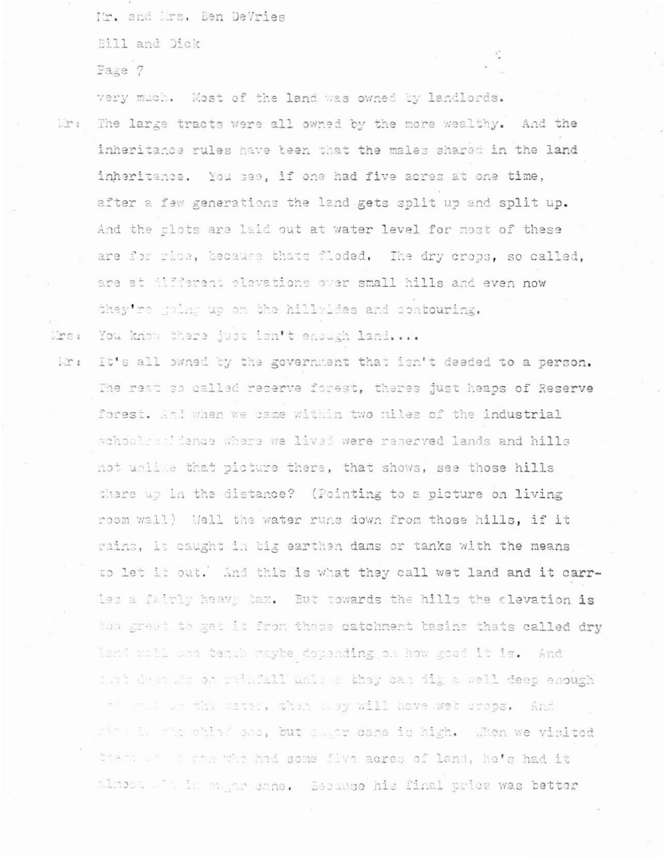It. and Irs. Ben DeVries

Bill and Dick

Page 7

very much. Most of the land was owned by landlords. Mr: The large tracts were all owned by the more wealthy. And the inheritance rules have been that the males shared in the land inheritance. You see, if one had five acres at one time, after a few generations the land gets split up and split up. And the clots are laid out at water level for most of these are for rise, because thats floded. The dry crops, so called, are at different elevations over small hills and even now they're poles up on the hillyldes and contouring.

Mrs: You know there just isn't enough land....

Mr: It's all owned by the government that isn't deeded to a person. The rest so called reserve forest, theres just heaps of Reserve forest. And when we came within two niles of the industrial schoolcarddence where we lived were reserved lands and hills not unlike that picture there, that shows, see those hills there up in the distance? (Pointing to a picture on living room wall) Well the water runs down from those hills, if it rains, it caught in big earthen dams or tanks with the means to let it out. And this is what they call wet land and it carries a fairly heavy tax. But towards the hills the clevation is hop great to get it from those catchment basins thats called dry land well one tenuh waybe depending on how good it is. And fiet destines on wrightly unlike they can dig a well deep enough al part on the mater, then may will have wet crops. And sit il ma chias ana, but allar cane is high. Then we vinited there we a gas who had some five acres of land, he's had it tlmost . It is say on come. Because his final price was better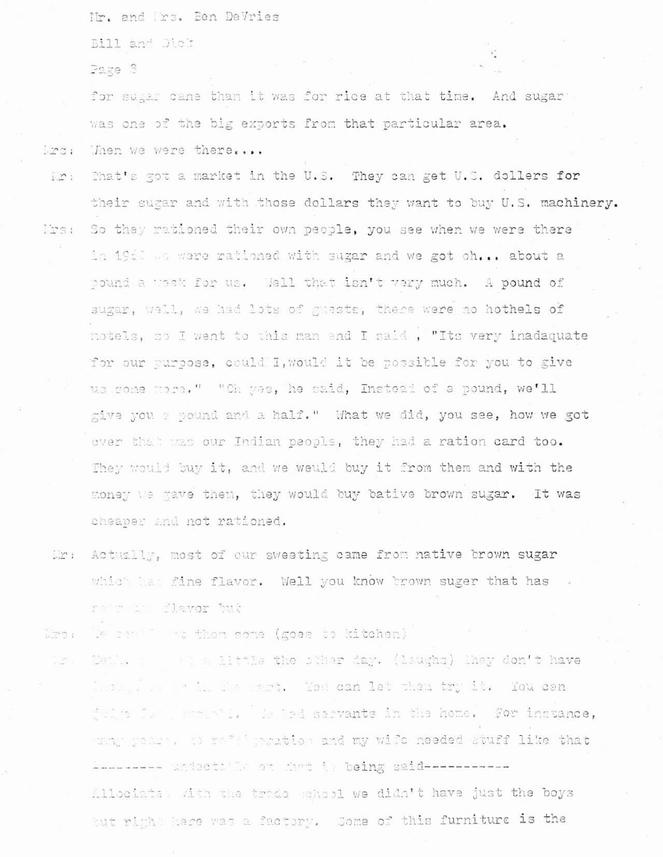Mr. and Irs. Ben DeVries

Bill and Dick

Page 3

for sugar cane than it was for rice at that time. And sugar was one of the big exports from that particular area.

lird : Then we were there....

- That's got a market in the U.S. They can get U.S. dollers for  $1.22$ their sugar and with those dollars they want to buy U.S. machinery. So they rationed their own pecole, you see when we were there linst in 1950 we were rationed with sugar and we got oh... about a pound a week for us. Well that isn't very much. A pound of sugar, wall, we had lots of guests, these were no hothels of motels, so I went to this man and I said, "Its very inadaquate for our purpose, could I, would it be possible for you to give us some more." "Oh wes, he said, Instead of a pound, we'll give you a pound and a half." What we did, you see, how we got over that was our Indian people, they had a ration card too. They would buy it, and we weuld buy it from them and with the money we wave them, they would buy bative brown sugar. It was cheaper and not rationed.
- Mr: Actually, most of our sweeting came from native brown sugar which has fine flavor. Well you know brown suger that has retrain flavor but
- Mrs: We sen'' we then some (goes to kitchen)
- Mank. The sailittle the pther day. (laughs) Maey don't have 1999 F handle as in the sart. You can let them try it. You can fairs for the well is led sarvants in the home. For inctance, wang getter, a) refigeration and my wife needed stuff like that Anneses unisotally on doct is being said-----------Allociate; with the trade wheel we didn't have just the boys tut right hase was a factory. Some of this furniture is the